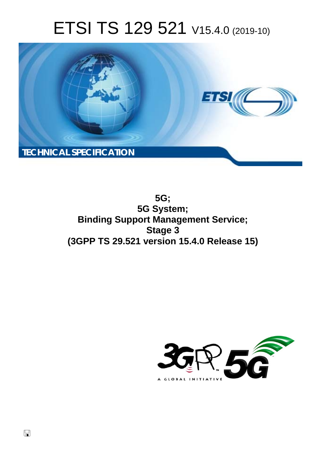# ETSI TS 129 521 V15.4.0 (2019-10)



**5G; 5G System; Binding Support Management Service; Stage 3 (3GPP TS 29.521 version 15.4.0 Release 15)** 

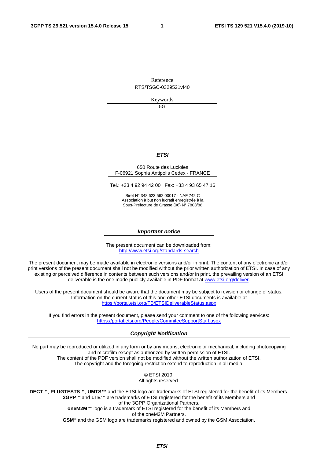Reference

RTS/TSGC-0329521vf40

Keywords

5G

#### *ETSI*

#### 650 Route des Lucioles F-06921 Sophia Antipolis Cedex - FRANCE

Tel.: +33 4 92 94 42 00 Fax: +33 4 93 65 47 16

Siret N° 348 623 562 00017 - NAF 742 C Association à but non lucratif enregistrée à la Sous-Préfecture de Grasse (06) N° 7803/88

#### *Important notice*

The present document can be downloaded from: <http://www.etsi.org/standards-search>

The present document may be made available in electronic versions and/or in print. The content of any electronic and/or print versions of the present document shall not be modified without the prior written authorization of ETSI. In case of any existing or perceived difference in contents between such versions and/or in print, the prevailing version of an ETSI deliverable is the one made publicly available in PDF format at [www.etsi.org/deliver](http://www.etsi.org/deliver).

Users of the present document should be aware that the document may be subject to revision or change of status. Information on the current status of this and other ETSI documents is available at <https://portal.etsi.org/TB/ETSIDeliverableStatus.aspx>

If you find errors in the present document, please send your comment to one of the following services: <https://portal.etsi.org/People/CommiteeSupportStaff.aspx>

#### *Copyright Notification*

No part may be reproduced or utilized in any form or by any means, electronic or mechanical, including photocopying and microfilm except as authorized by written permission of ETSI. The content of the PDF version shall not be modified without the written authorization of ETSI. The copyright and the foregoing restriction extend to reproduction in all media.

> © ETSI 2019. All rights reserved.

**DECT™**, **PLUGTESTS™**, **UMTS™** and the ETSI logo are trademarks of ETSI registered for the benefit of its Members. **3GPP™** and **LTE™** are trademarks of ETSI registered for the benefit of its Members and of the 3GPP Organizational Partners. **oneM2M™** logo is a trademark of ETSI registered for the benefit of its Members and of the oneM2M Partners. **GSM®** and the GSM logo are trademarks registered and owned by the GSM Association.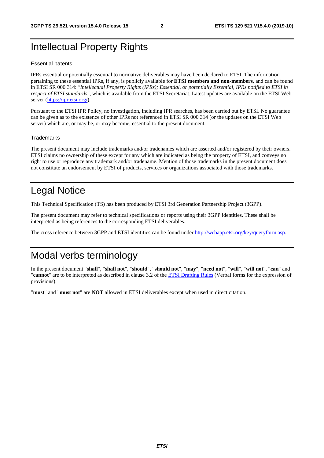## Intellectual Property Rights

#### Essential patents

IPRs essential or potentially essential to normative deliverables may have been declared to ETSI. The information pertaining to these essential IPRs, if any, is publicly available for **ETSI members and non-members**, and can be found in ETSI SR 000 314: *"Intellectual Property Rights (IPRs); Essential, or potentially Essential, IPRs notified to ETSI in respect of ETSI standards"*, which is available from the ETSI Secretariat. Latest updates are available on the ETSI Web server ([https://ipr.etsi.org/\)](https://ipr.etsi.org/).

Pursuant to the ETSI IPR Policy, no investigation, including IPR searches, has been carried out by ETSI. No guarantee can be given as to the existence of other IPRs not referenced in ETSI SR 000 314 (or the updates on the ETSI Web server) which are, or may be, or may become, essential to the present document.

#### **Trademarks**

The present document may include trademarks and/or tradenames which are asserted and/or registered by their owners. ETSI claims no ownership of these except for any which are indicated as being the property of ETSI, and conveys no right to use or reproduce any trademark and/or tradename. Mention of those trademarks in the present document does not constitute an endorsement by ETSI of products, services or organizations associated with those trademarks.

## Legal Notice

This Technical Specification (TS) has been produced by ETSI 3rd Generation Partnership Project (3GPP).

The present document may refer to technical specifications or reports using their 3GPP identities. These shall be interpreted as being references to the corresponding ETSI deliverables.

The cross reference between 3GPP and ETSI identities can be found under<http://webapp.etsi.org/key/queryform.asp>.

## Modal verbs terminology

In the present document "**shall**", "**shall not**", "**should**", "**should not**", "**may**", "**need not**", "**will**", "**will not**", "**can**" and "**cannot**" are to be interpreted as described in clause 3.2 of the [ETSI Drafting Rules](https://portal.etsi.org/Services/editHelp!/Howtostart/ETSIDraftingRules.aspx) (Verbal forms for the expression of provisions).

"**must**" and "**must not**" are **NOT** allowed in ETSI deliverables except when used in direct citation.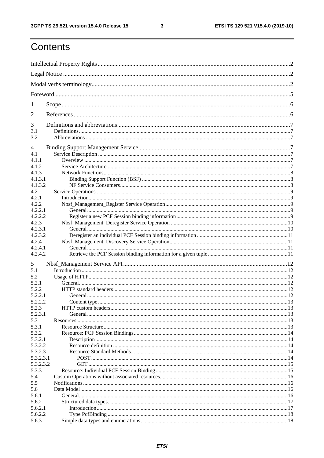$\mathbf{3}$ 

## Contents

| 1                  |  |
|--------------------|--|
| $\overline{2}$     |  |
| 3                  |  |
| 3.1<br>3.2         |  |
| 4                  |  |
| 4.1                |  |
| 4.1.1              |  |
| 4.1.2              |  |
| 4.1.3              |  |
| 4.1.3.1            |  |
| 4.1.3.2            |  |
| 4.2                |  |
| 4.2.1              |  |
| 4.2.2              |  |
| 4.2.2.1            |  |
| 4.2.2.2            |  |
| 4.2.3              |  |
| 4.2.3.1            |  |
| 4.2.3.2            |  |
| 4.2.4              |  |
| 4.2.4.1<br>4.2.4.2 |  |
| 5                  |  |
| 5.1                |  |
| 5.2                |  |
| 5.2.1              |  |
| 5.2.2              |  |
| 5.2.2.1            |  |
| 5.2.2.2            |  |
| 5.2.3              |  |
| 5.2.3.1            |  |
| 5.3                |  |
| 5.3.1              |  |
| 5.3.2              |  |
| 5.3.2.1            |  |
| 5.3.2.2            |  |
| 5.3.2.3            |  |
| 5.3.2.3.1          |  |
| 5.3.2.3.2          |  |
| 5.3.3              |  |
| 5.4                |  |
| 5.5                |  |
| 5.6                |  |
| 5.6.1<br>5.6.2     |  |
| 5.6.2.1            |  |
| 5.6.2.2            |  |
| 5.6.3              |  |
|                    |  |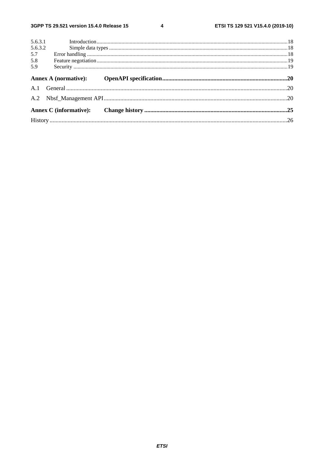$\overline{\mathbf{4}}$ 

| 5.6.3.1 |  |
|---------|--|
| 5.6.3.2 |  |
| 5.7     |  |
| 5.8     |  |
| 5.9     |  |
|         |  |
|         |  |
|         |  |
|         |  |
|         |  |
|         |  |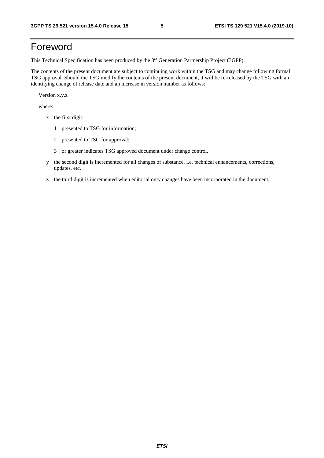## Foreword

This Technical Specification has been produced by the 3<sup>rd</sup> Generation Partnership Project (3GPP).

The contents of the present document are subject to continuing work within the TSG and may change following formal TSG approval. Should the TSG modify the contents of the present document, it will be re-released by the TSG with an identifying change of release date and an increase in version number as follows:

Version x.y.z

where:

- x the first digit:
	- 1 presented to TSG for information;
	- 2 presented to TSG for approval;
	- 3 or greater indicates TSG approved document under change control.
- y the second digit is incremented for all changes of substance, i.e. technical enhancements, corrections, updates, etc.
- z the third digit is incremented when editorial only changes have been incorporated in the document.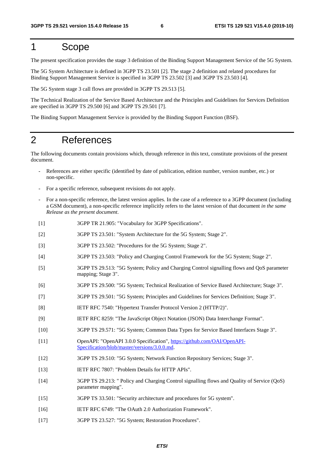## 1 Scope

The present specification provides the stage 3 definition of the Binding Support Management Service of the 5G System.

The 5G System Architecture is defined in 3GPP TS 23.501 [2]. The stage 2 definition and related procedures for Binding Support Management Service is specified in 3GPP TS 23.502 [3] and 3GPP TS 23.503 [4].

The 5G System stage 3 call flows are provided in 3GPP TS 29.513 [5].

The Technical Realization of the Service Based Architecture and the Principles and Guidelines for Services Definition are specified in 3GPP TS 29.500 [6] and 3GPP TS 29.501 [7].

The Binding Support Management Service is provided by the Binding Support Function (BSF).

## 2 References

The following documents contain provisions which, through reference in this text, constitute provisions of the present document.

- References are either specific (identified by date of publication, edition number, version number, etc.) or non-specific.
- For a specific reference, subsequent revisions do not apply.
- For a non-specific reference, the latest version applies. In the case of a reference to a 3GPP document (including a GSM document), a non-specific reference implicitly refers to the latest version of that document *in the same Release as the present document*.
- [1] 3GPP TR 21.905: "Vocabulary for 3GPP Specifications".
- [2] 3GPP TS 23.501: "System Architecture for the 5G System; Stage 2".
- [3] 3GPP TS 23.502: "Procedures for the 5G System; Stage 2".
- [4] 3GPP TS 23.503: "Policy and Charging Control Framework for the 5G System; Stage 2".
- [5] 3GPP TS 29.513: "5G System; Policy and Charging Control signalling flows and QoS parameter mapping; Stage 3".
- [6] 3GPP TS 29.500: "5G System; Technical Realization of Service Based Architecture; Stage 3".
- [7] 3GPP TS 29.501: "5G System; Principles and Guidelines for Services Definition; Stage 3".
- [8] IETF RFC 7540: "Hypertext Transfer Protocol Version 2 (HTTP/2)".
- [9] IETF RFC 8259: "The JavaScript Object Notation (JSON) Data Interchange Format".
- [10] 3GPP TS 29.571: "5G System; Common Data Types for Service Based Interfaces Stage 3".
- [11] OpenAPI: "OpenAPI 3.0.0 Specification", [https://github.com/OAI/OpenAPI](https://github.com/OAI/OpenAPI-Specification/blob/master/versions/3.0.0.md)-[Specification/blob/master/versions/3.0.0.md](https://github.com/OAI/OpenAPI-Specification/blob/master/versions/3.0.0.md).
- [12] 3GPP TS 29.510: "5G System; Network Function Repository Services; Stage 3".
- [13] IETF RFC 7807: "Problem Details for HTTP APIs".
- [14] 3GPP TS 29.213: " Policy and Charging Control signalling flows and Quality of Service (QoS) parameter mapping".
- [15] 3GPP TS 33.501: "Security architecture and procedures for 5G system".
- [16] IETF RFC 6749: "The OAuth 2.0 Authorization Framework".
- [17] 3GPP TS 23.527: "5G System; Restoration Procedures".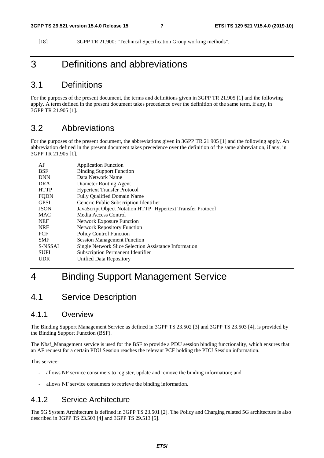[18] 3GPP TR 21.900: "Technical Specification Group working methods".

## 3 Definitions and abbreviations

## 3.1 Definitions

For the purposes of the present document, the terms and definitions given in 3GPP TR 21.905 [1] and the following apply. A term defined in the present document takes precedence over the definition of the same term, if any, in 3GPP TR 21.905 [1].

## 3.2 Abbreviations

For the purposes of the present document, the abbreviations given in 3GPP TR 21.905 [1] and the following apply. An abbreviation defined in the present document takes precedence over the definition of the same abbreviation, if any, in 3GPP TR 21.905 [1].

| AF          | <b>Application Function</b>                                 |
|-------------|-------------------------------------------------------------|
| <b>BSF</b>  | <b>Binding Support Function</b>                             |
| <b>DNN</b>  | Data Network Name                                           |
| <b>DRA</b>  | Diameter Routing Agent                                      |
| <b>HTTP</b> | <b>Hypertext Transfer Protocol</b>                          |
| <b>FODN</b> | Fully Qualified Domain Name                                 |
| <b>GPSI</b> | Generic Public Subscription Identifier                      |
| <b>JSON</b> | JavaScript Object Notation HTTP Hypertext Transfer Protocol |
| <b>MAC</b>  | Media Access Control                                        |
| <b>NEF</b>  | <b>Network Exposure Function</b>                            |
| <b>NRF</b>  | <b>Network Repository Function</b>                          |
| <b>PCF</b>  | <b>Policy Control Function</b>                              |
| <b>SMF</b>  | <b>Session Management Function</b>                          |
| S-NSSAI     | Single Network Slice Selection Assistance Information       |
| <b>SUPI</b> | <b>Subscription Permanent Identifier</b>                    |
| UDR         | Unified Data Repository                                     |
|             |                                                             |

## 4 Binding Support Management Service

## 4.1 Service Description

### 4.1.1 Overview

The Binding Support Management Service as defined in 3GPP TS 23.502 [3] and 3GPP TS 23.503 [4], is provided by the Binding Support Function (BSF).

The Nbsf Management service is used for the BSF to provide a PDU session binding functionality, which ensures that an AF request for a certain PDU Session reaches the relevant PCF holding the PDU Session information.

This service:

- allows NF service consumers to register, update and remove the binding information; and
- allows NF service consumers to retrieve the binding information.

### 4.1.2 Service Architecture

The 5G System Architecture is defined in 3GPP TS 23.501 [2]. The Policy and Charging related 5G architecture is also described in 3GPP TS 23.503 [4] and 3GPP TS 29.513 [5].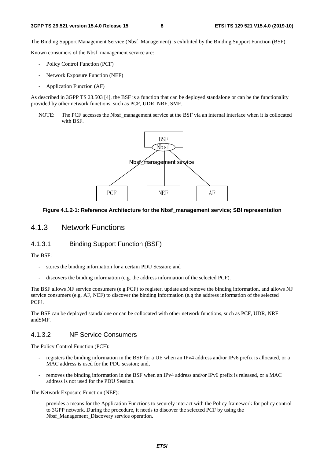The Binding Support Management Service (Nbsf\_Management) is exhibited by the Binding Support Function (BSF).

Known consumers of the Nbsf\_management service are:

- Policy Control Function (PCF)
- Network Exposure Function (NEF)
- Application Function (AF)

As described in 3GPP TS 23.503 [4], the BSF is a function that can be deployed standalone or can be the functionality provided by other network functions, such as PCF, UDR, NRF, SMF.

NOTE: The PCF accesses the Nbsf\_management service at the BSF via an internal interface when it is collocated with BSF.



#### **Figure 4.1.2-1: Reference Architecture for the Nbsf\_management service; SBI representation**

#### 4.1.3 Network Functions

#### 4.1.3.1 Binding Support Function (BSF)

The BSF:

- stores the binding information for a certain PDU Session; and
- discovers the binding information (e.g. the address information of the selected PCF).

The BSF allows NF service consumers (e.g.PCF) to register, update and remove the binding information, and allows NF service consumers (e.g. AF, NEF) to discover the binding information (e.g the address information of the selected PCF).

The BSF can be deployed standalone or can be collocated with other network functions, such as PCF, UDR, NRF andSMF.

#### 4.1.3.2 NF Service Consumers

The Policy Control Function (PCF):

- registers the binding information in the BSF for a UE when an IPv4 address and/or IPv6 prefix is allocated, or a MAC address is used for the PDU session; and,
- removes the binding information in the BSF when an IPv4 address and/or IPv6 prefix is released, or a MAC address is not used for the PDU Session.

The Network Exposure Function (NEF):

- provides a means for the Application Functions to securely interact with the Policy framework for policy control to 3GPP network. During the procedure, it needs to discover the selected PCF by using the Nbsf\_Management\_Discovery service operation.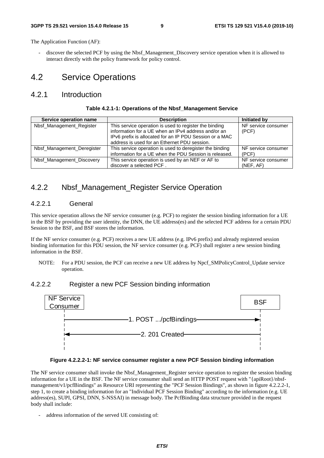The Application Function (AF):

discover the selected PCF by using the Nbsf\_Management\_Discovery service operation when it is allowed to interact directly with the policy framework for policy control.

## 4.2 Service Operations

### 4.2.1 Introduction

| Table 4.2.1-1: Operations of the Nbsf_Management Service |  |
|----------------------------------------------------------|--|
|----------------------------------------------------------|--|

| Service operation name     | <b>Description</b>                                                                                                                                                                                                       | Initiated by                     |
|----------------------------|--------------------------------------------------------------------------------------------------------------------------------------------------------------------------------------------------------------------------|----------------------------------|
| Nbsf_Management_Register   | This service operation is used to register the binding<br>information for a UE when an IPv4 address and/or an<br>IPv6 prefix is allocated for an IP PDU Session or a MAC<br>address is used for an Ethernet PDU session. | NF service consumer<br>(PCF)     |
| Nbsf Management Deregister | This service operation is used to deregister the binding<br>information for a UE when the PDU Session is released.                                                                                                       | NF service consumer<br>(PCF)     |
| Nbsf_Management_Discovery  | This service operation is used by an NEF or AF to<br>discover a selected PCF.                                                                                                                                            | NF service consumer<br>(NEF, AF) |

### 4.2.2 Nbsf Management Register Service Operation

#### 4.2.2.1 General

This service operation allows the NF service consumer (e.g. PCF) to register the session binding information for a UE in the BSF by providing the user identity, the DNN, the UE address(es) and the selected PCF address for a certain PDU Session to the BSF, and BSF stores the information.

If the NF service consumer (e.g. PCF) receives a new UE address (e.g. IPv6 prefix) and already registered session binding information for this PDU session, the NF service consumer (e.g. PCF) shall register a new session binding information in the BSF.

NOTE: For a PDU session, the PCF can receive a new UE address by Npcf\_SMPolicyControl\_Update service operation.

#### 4.2.2.2 Register a new PCF Session binding information



#### **Figure 4.2.2.2-1: NF service consumer register a new PCF Session binding information**

The NF service consumer shall invoke the Nbsf\_Management\_Register service operation to register the session binding information for a UE in the BSF. The NF service consumer shall send an HTTP POST request with "{apiRoot}/nbsfmanagement/v1/pcfBindings" as Resource URI representing the "PCF Session Bindings", as shown in figure 4.2.2.2-1, step 1, to create a binding information for an "Individual PCF Session Binding" according to the information (e.g. UE address(es), SUPI, GPSI, DNN, S-NSSAI) in message body. The PcfBinding data structure provided in the request body shall include:

- address information of the served UE consisting of: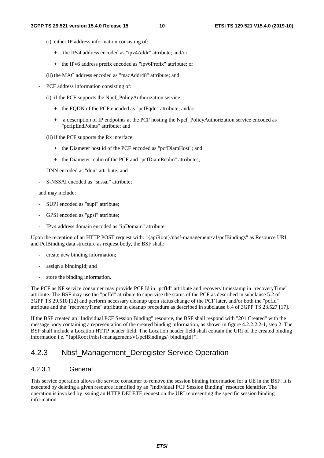- (i) either IP address information consisting of:
	- + the IPv4 address encoded as "ipv4Addr" attribute; and/or
	- + the IPv6 address prefix encoded as "ipv6Prefix" attribute; or
- (ii) the MAC address encoded as "macAddr48" attribute; and
- PCF address information consisting of:
	- (i) if the PCF supports the Npcf\_PolicyAuthorization service:
		- + the FQDN of the PCF encoded as "pcfFqdn" attribute; and/or
		- + a description of IP endpoints at the PCF hosting the Npcf\_PolicyAuthorization service encoded as "pcfIpEndPoints" attribute; and
	- (ii) if the PCF supports the Rx interface,
		- + the Diameter host id of the PCF encoded as "pcfDiamHost"; and
		- + the Diameter realm of the PCF and "pcfDiamRealm" attributes;
- DNN encoded as "dnn" attribute; and
- S-NSSAI encoded as "snssai" attribute;

and may include:

- SUPI encoded as "supi" attribute;
- GPSI encoded as "gpsi" attribute;
- IPv4 address domain encoded as "ipDomain" attribute.

Upon the reception of an HTTP POST request with: "{apiRoot}/nbsf-management/v1/pcfBindings" as Resource URI and PcfBinding data structure as request body, the BSF shall:

- create new binding information:
- assign a bindingId; and
- store the binding information.

The PCF as NF service consumer may provide PCF Id in "pcfId" attribute and recovery timestamp in "recoveryTime" attribute. The BSF may use the "pcfId" attribute to supervise the status of the PCF as described in subclause 5.2 of 3GPP TS 29.510 [12] and perform necessary cleanup upon status change of the PCF later, and/or both the "pcfId" attribute and the "recoveryTime" attribute in cleanup procedure as described in subclause 6.4 of 3GPP TS 23.527 [17].

If the BSF created an "Individual PCF Session Binding" resource, the BSF shall respond with "201 Created" with the message body containing a representation of the created binding information, as shown in figure 4.2.2.2.2-1, step 2. The BSF shall include a Location HTTP header field. The Location header field shall contain the URI of the created binding information i.e. "{apiRoot}/nbsf-management/v1/pcfBindings/{bindingId}".

## 4.2.3 Nbsf Management Deregister Service Operation

#### 4.2.3.1 General

This service operation allows the service consumer to remove the session binding information for a UE in the BSF. It is executed by deleting a given resource identified by an "Individual PCF Session Binding" resource identifier. The operation is invoked by issuing an HTTP DELETE request on the URI representing the specific session binding information.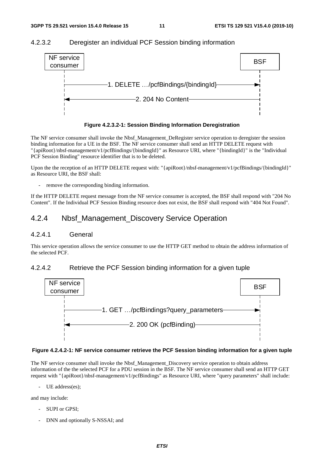#### 4.2.3.2 Deregister an individual PCF Session binding information





The NF service consumer shall invoke the Nbsf\_Management\_DeRegister service operation to deregister the session binding information for a UE in the BSF. The NF service consumer shall send an HTTP DELETE request with "{apiRoot}/nbsf-management/v1/pcfBindings/{bindingId}" as Resource URI, where "{bindingId}" is the "Individual PCF Session Binding" resource identifier that is to be deleted.

Upon the the reception of an HTTP DELETE request with: "{apiRoot}/nbsf-management/v1/pcfBindings/{bindingId}" as Resource URI, the BSF shall:

remove the corresponding binding information.

If the HTTP DELETE request message from the NF service consumer is accepted, the BSF shall respond with "204 No Content". If the Individual PCF Session Binding resource does not exist, the BSF shall respond with "404 Not Found".

### 4.2.4 Nbsf\_Management\_Discovery Service Operation

#### 4.2.4.1 General

This service operation allows the service consumer to use the HTTP GET method to obtain the address information of the selected PCF.

#### 4.2.4.2 Retrieve the PCF Session binding information for a given tuple



#### **Figure 4.2.4.2-1: NF service consumer retrieve the PCF Session binding information for a given tuple**

The NF service consumer shall invoke the Nbsf\_Management\_Discovery service operation to obtain address information of the the selected PCF for a PDU session in the BSF. The NF service consumer shall send an HTTP GET request with "{apiRoot}/nbsf-management/v1/pcfBindings" as Resource URI, where "query parameters" shall include:

- UE address(es);

and may include:

- SUPI or GPSI:
- DNN and optionally S-NSSAI; and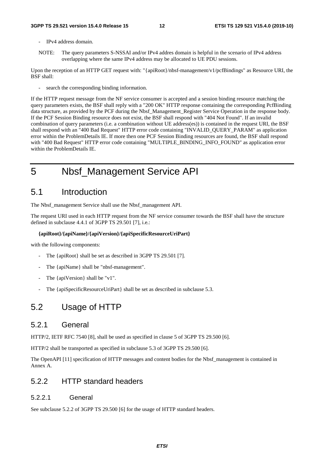#### **3GPP TS 29.521 version 15.4.0 Release 15 12 ETSI TS 129 521 V15.4.0 (2019-10)**

- IPv4 address domain.
- NOTE: The query parameters S-NSSAI and/or IPv4 addres domain is helpful in the scenario of IPv4 address overlapping where the same IPv4 address may be allocated to UE PDU sessions.

Upon the reception of an HTTP GET request with: "{apiRoot}/nbsf-management/v1/pcfBindings" as Resource URI, the BSF shall:

search the corresponding binding information.

If the HTTP request message from the NF service consumer is accepted and a session binding resource matching the query parameters exists, the BSF shall reply with a "200 OK" HTTP response containing the corresponding PcfBinding data structure, as provided by the PCF during the Nbsf\_Management\_Register Service Operation in the response body. If the PCF Session Binding resource does not exist, the BSF shall respond with "404 Not Found". If an invalid combination of query parameters (i.e. a combination without UE address(es)) is contained in the request URI, the BSF shall respond with an "400 Bad Request" HTTP error code containing "INVALID\_QUERY\_PARAM" as application error within the ProblemDetails IE. If more then one PCF Session Binding resources are found, the BSF shall respond with "400 Bad Request" HTTP error code containing "MULTIPLE\_BINDING\_INFO\_FOUND" as application error within the ProblemDetails IE.

5 Nbsf\_Management Service API

### 5.1 Introduction

The Nbsf\_management Service shall use the Nbsf\_management API.

The request URI used in each HTTP request from the NF service consumer towards the BSF shall have the structure defined in subclause 4.4.1 of 3GPP TS 29.501 [7], i.e.:

#### **{apiRoot}/{apiName}/{apiVersion}/{apiSpecificResourceUriPart}**

with the following components:

- The {apiRoot} shall be set as described in 3GPP TS 29.501 [7].
- The {apiName} shall be "nbsf-management".
- The {apiVersion} shall be "v1".
- The {apiSpecificResourceUriPart} shall be set as described in subclause 5.3.

## 5.2 Usage of HTTP

### 5.2.1 General

HTTP/2, IETF RFC 7540 [8], shall be used as specified in clause 5 of 3GPP TS 29.500 [6].

HTTP/2 shall be transported as specified in subclause 5.3 of 3GPP TS 29.500 [6].

The OpenAPI [11] specification of HTTP messages and content bodies for the Nbsf\_management is contained in Annex A.

### 5.2.2 HTTP standard headers

#### 5.2.2.1 General

See subclause 5.2.2 of 3GPP TS 29.500 [6] for the usage of HTTP standard headers.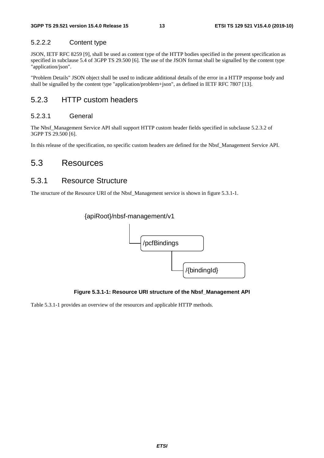### 5.2.2.2 Content type

JSON, IETF RFC 8259 [9], shall be used as content type of the HTTP bodies specified in the present specification as specified in subclause 5.4 of 3GPP TS 29.500 [6]. The use of the JSON format shall be signalled by the content type "application/json".

"Problem Details" JSON object shall be used to indicate additional details of the error in a HTTP response body and shall be signalled by the content type "application/problem+json", as defined in IETF RFC 7807 [13].

## 5.2.3 HTTP custom headers

#### 5.2.3.1 General

The Nbsf\_Management Service API shall support HTTP custom header fields specified in subclause 5.2.3.2 of 3GPP TS 29.500 [6].

In this release of the specification, no specific custom headers are defined for the Nbsf\_Management Service API.

### 5.3 Resources

### 5.3.1 Resource Structure

The structure of the Resource URI of the Nbsf\_Management service is shown in figure 5.3.1-1.



#### **Figure 5.3.1-1: Resource URI structure of the Nbsf\_Management API**

Table 5.3.1-1 provides an overview of the resources and applicable HTTP methods.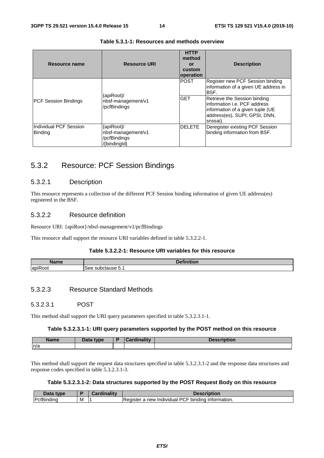| Resource name                            | <b>Resource URI</b>                                              | <b>HTTP</b><br>method<br>or<br>custom<br>operation | <b>Description</b>                                                                                                                                                                                                                  |
|------------------------------------------|------------------------------------------------------------------|----------------------------------------------------|-------------------------------------------------------------------------------------------------------------------------------------------------------------------------------------------------------------------------------------|
| <b>PCF Session Bindings</b>              | {apiRoot}/<br>nbsf-management/v1<br>/pcfBindings                 | <b>POST</b><br><b>GET</b>                          | Register new PCF Session binding<br>information of a given UE address in<br>IBSF.<br>Retrieve the Session binding<br>linformation i.e. PCF address<br>information of a given tuple (UE<br>address(es), SUPI; GPSI, DNN,<br>snssai). |
| Individual PCF Session<br><b>Binding</b> | {apiRoot}/<br>nbsf-management/v1<br>/pcfBindings<br>/{bindingld} | <b>DELETE</b>                                      | Deregister existing PCF Session<br>binding information from BSF.                                                                                                                                                                    |

#### **Table 5.3.1-1: Resources and methods overview**

## 5.3.2 Resource: PCF Session Bindings

#### 5.3.2.1 Description

This resource represents a collection of the different PCF Session binding information of given UE address(es) registered in the BSF.

#### 5.3.2.2 Resource definition

Resource URI: {apiRoot}/nbsf-management/v1/pcfBindings

This resource shall support the resource URI variables defined in table 5.3.2.2-1.

#### **Table 5.3.2.2-1: Resource URI variables for this resource**

| <b>Name</b> | .<br>.<br>.<br>чки.                    |
|-------------|----------------------------------------|
| lapiRoot    | -<br>$\sim$<br>$\cdot$ . $\sim$<br>See |

#### 5.3.2.3 Resource Standard Methods

#### 5.3.2.3.1 POST

This method shall support the URI query parameters specified in table 5.3.2.3.1-1.

#### **Table 5.3.2.3.1-1: URI query parameters supported by the POST method on this resource**

| <b>Name</b> | Data type | <b>unality</b><br>:ardi | Description |
|-------------|-----------|-------------------------|-------------|
| n/a         |           |                         |             |

This method shall support the request data structures specified in table 5.3.2.3.1-2 and the response data structures and response codes specified in table 5.3.2.3.1-3.

#### **Table 5.3.2.3.1-2: Data structures supported by the POST Request Body on this resource**

| Data type                      |   | rdinality<br>- 0 | Description                                                                              |
|--------------------------------|---|------------------|------------------------------------------------------------------------------------------|
| ID <sub>eff</sub><br>cfBindinc | M |                  | <br><b>PCI</b><br>-<br>bindina<br>new<br>information.<br>Redister a<br><b>Individual</b> |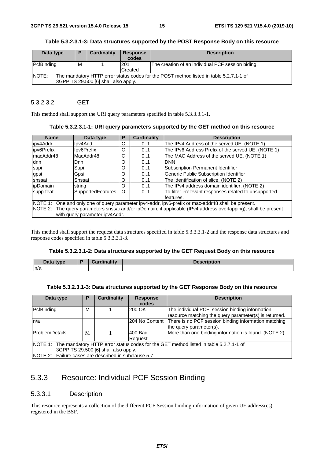| Data type                                                                                       | D | Cardinality | <b>Response</b> | <b>Description</b>                                |
|-------------------------------------------------------------------------------------------------|---|-------------|-----------------|---------------------------------------------------|
|                                                                                                 |   |             | codes           |                                                   |
| PcfBinding                                                                                      | м |             | 201             | The creation of an individual PCF session biding. |
|                                                                                                 |   |             | Created         |                                                   |
| NOTE:<br>The mandatory HTTP error status codes for the POST method listed in table 5.2.7.1-1 of |   |             |                 |                                                   |
| 3GPP TS 29.500 [6] shall also apply.                                                            |   |             |                 |                                                   |

**Table 5.3.2.3.1-3: Data structures supported by the POST Response Body on this resource** 

#### 5.3.2.3.2 GET

This method shall support the URI query parameters specified in table 5.3.3.3.1-1.

| <b>Name</b>                                                                                                     | Data type                | Р        | <b>Cardinality</b> | <b>Description</b>                                    |
|-----------------------------------------------------------------------------------------------------------------|--------------------------|----------|--------------------|-------------------------------------------------------|
| ipv4Addr                                                                                                        | lpv4Add                  | С        | 0.1                | The IPv4 Address of the served UE. (NOTE 1)           |
| lipv6Prefix                                                                                                     | Ipv6Prefix               | С        | 01                 | The IPv6 Address Prefix of the served UE. (NOTE 1)    |
| lmacAddr48                                                                                                      | MacAddr48                | C        | 0.1                | The MAC Address of the served UE. (NOTE 1)            |
| ldnn.                                                                                                           | <b>D</b> nn              | O        | 01                 | <b>DNN</b>                                            |
| supi                                                                                                            | Supi                     | O        | 01                 | <b>Subscription Permanent Identifier</b>              |
| gpsi                                                                                                            | Gpsi                     | O        | 0.1                | Generic Public Subscription Identifier                |
| snssai                                                                                                          | Snssai                   | O        | 0.1                | The identification of slice. (NOTE 2)                 |
| ipDomain                                                                                                        | string                   | $\Omega$ | 0.1                | The IPv4 address domain identifier. (NOTE 2)          |
| supp-feat                                                                                                       | <b>SupportedFeatures</b> | O        | 0.1                | To filter irrelevant responses related to unsupported |
|                                                                                                                 |                          |          |                    | features.                                             |
| NOTE 1: One and only one of query parameter ipv4-addr, ipv6-prefix or mac-addr48 shall be present.              |                          |          |                    |                                                       |
| NOTE 2: The query parameters snssai and/or ipDomain, if applicable (IPv4 address overlapping), shall be present |                          |          |                    |                                                       |
| with query parameter ipv4Addr.                                                                                  |                          |          |                    |                                                       |

This method shall support the request data structures specified in table 5.3.3.3.1-2 and the response data structures and response codes specified in table 5.3.3.3.1-3.

#### **Table 5.3.2.3.1-2: Data structures supported by the GET Request Body on this resource**

| Data type | Cardinality<br>-чнань. |  |
|-----------|------------------------|--|
| n/a       |                        |  |

#### **Table 5.3.2.3.1-3: Data structures supported by the GET Response Body on this resource**

| Data type                                                                                     | Р | Cardinality | <b>Response</b><br>codes | <b>Description</b>                                    |  |
|-----------------------------------------------------------------------------------------------|---|-------------|--------------------------|-------------------------------------------------------|--|
| PcfBinding                                                                                    | M |             | 200 OK                   | The individual PCF session binding information        |  |
|                                                                                               |   |             |                          | resource matching the query parameter(s) is returned. |  |
| In/a                                                                                          |   |             | 204 No Content           | There is no PCF session binding information matching  |  |
|                                                                                               |   |             |                          | the query parameter(s).                               |  |
| <b>ProblemDetails</b>                                                                         | M |             | 400 Bad                  | More than one binding information is found. (NOTE 2)  |  |
|                                                                                               |   |             | Request                  |                                                       |  |
| NOTE 1: The mandatory HTTP error status codes for the GET method listed in table 5.2.7.1-1 of |   |             |                          |                                                       |  |
| 3GPP TS 29.500 [6] shall also apply.                                                          |   |             |                          |                                                       |  |
| NOTE 2: Failure cases are described in subclause 5.7.                                         |   |             |                          |                                                       |  |

## 5.3.3 Resource: Individual PCF Session Binding

#### 5.3.3.1 Description

This resource represents a collection of the different PCF Session binding information of given UE address(es) registered in the BSF.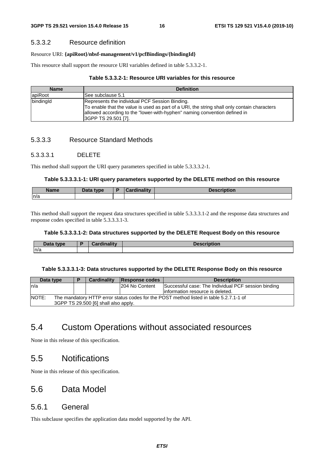#### 5.3.3.2 Resource definition

#### Resource URI: **{apiRoot}/nbsf-management/v1/pcfBindings/{bindingId}**

This resource shall support the resource URI variables defined in table 5.3.3.2-1.

#### **Table 5.3.3.2-1: Resource URI variables for this resource**

| <b>Name</b> | <b>Definition</b>                                                                                                                                                                                                                                 |
|-------------|---------------------------------------------------------------------------------------------------------------------------------------------------------------------------------------------------------------------------------------------------|
| apiRoot     | lSee subclause 5.1                                                                                                                                                                                                                                |
| bindingId   | Represents the individual PCF Session Binding.<br>To enable that the value is used as part of a URI, the string shall only contain characters<br>allowed according to the "lower-with-hyphen" naming convention defined in<br>SGPP TS 29.501 [7]. |

#### 5.3.3.3 Resource Standard Methods

#### 5.3.3.3.1 DELETE

This method shall support the URI query parameters specified in table 5.3.3.3.2-1.

#### **Table 5.3.3.3.1-1: URI query parameters supported by the DELETE method on this resource**

| <b>Name</b> | <b>Data type</b><br>Dala | $1 - 11$<br>$\sim$ $\sim$ $\sim$ $\sim$ | $1 - 1 - 1$<br>ノワコ<br>uvıı |
|-------------|--------------------------|-----------------------------------------|----------------------------|
| n/a         |                          |                                         |                            |

This method shall support the request data structures specified in table 5.3.3.3.1-2 and the response data structures and response codes specified in table 5.3.3.3.1-3.

#### **Table 5.3.3.3.1-2: Data structures supported by the DELETE Request Body on this resource**

| Data<br>type<br>Dala | Cardinality | <b>Description</b> |
|----------------------|-------------|--------------------|
| ln/a                 |             |                    |

#### **Table 5.3.3.3.1-3: Data structures supported by the DELETE Response Body on this resource**

| Data type                                                                                               |                                      |  | <b>Cardinality</b> | Response codes | <b>Description</b>                                  |
|---------------------------------------------------------------------------------------------------------|--------------------------------------|--|--------------------|----------------|-----------------------------------------------------|
| ln/a                                                                                                    |                                      |  |                    | 204 No Content | Successful case: The Individual PCF session binding |
|                                                                                                         |                                      |  |                    |                | linformation resource is deleted.                   |
| <b>INOTE:</b><br>The mandatory HTTP error status codes for the POST method listed in table 5.2.7.1-1 of |                                      |  |                    |                |                                                     |
|                                                                                                         | 3GPP TS 29.500 [6] shall also apply. |  |                    |                |                                                     |

## 5.4 Custom Operations without associated resources

None in this release of this specification.

## 5.5 Notifications

None in this release of this specification.

## 5.6 Data Model

#### 5.6.1 General

This subclause specifies the application data model supported by the API.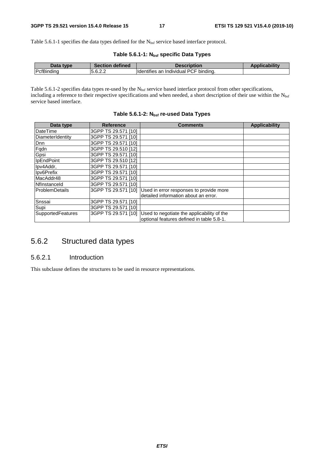Table 5.6.1-1 specifies the data types defined for the N<sub>bsf</sub> service based interface protocol.

| Table 5.6.1-1: N <sub>bsf</sub> specific Data Types |  |  |
|-----------------------------------------------------|--|--|
|-----------------------------------------------------|--|--|

| Data<br>type             | defined<br><b>Section</b>       | <b>Description</b>                                  | <b>ability</b> |
|--------------------------|---------------------------------|-----------------------------------------------------|----------------|
| ∽<br>$\cdots$<br><br>-uL | $\sim$ $\sim$ $\sim$<br>0.0.Z.Z | .<br>bindina<br>Identifies<br>an<br>Individual<br>◡ |                |

Table 5.6.1-2 specifies data types re-used by the N<sub>bsf</sub> service based interface protocol from other specifications, including a reference to their respective specifications and when needed, a short description of their use within the Nbsf service based interface.

| Table 5.6.1-2: N <sub>bsf</sub> re-used Data Types |  |  |
|----------------------------------------------------|--|--|
|----------------------------------------------------|--|--|

| Data type             | <b>Reference</b>    | Comments                                   | Applicability |
|-----------------------|---------------------|--------------------------------------------|---------------|
| DateTime              | 3GPP TS 29.571 [10] |                                            |               |
| DiameterIdentity      | 3GPP TS 29.571 [10] |                                            |               |
| Dnn                   | 3GPP TS 29.571 [10] |                                            |               |
| Fqdn                  | 3GPP TS 29.510 [12] |                                            |               |
| Gpsi                  | 3GPP TS 29.571 [10] |                                            |               |
| <b>IpEndPoint</b>     | 3GPP TS 29.510 [12] |                                            |               |
| Ipv4Addr,             | 3GPP TS 29.571 [10] |                                            |               |
| Ipv6Prefix            | 3GPP TS 29.571 [10] |                                            |               |
| MacAddr48             | 3GPP TS 29.571 [10] |                                            |               |
| Nflnstanceld          | 3GPP TS 29.571 [10] |                                            |               |
| <b>ProblemDetails</b> | 3GPP TS 29.571 [10] | Used in error responses to provide more    |               |
|                       |                     | detailed information about an error.       |               |
| Snssai                | 3GPP TS 29.571 [10] |                                            |               |
| Supi                  | 3GPP TS 29.571 [10] |                                            |               |
| SupportedFeatures     | 3GPP TS 29.571 [10] | Used to negotiate the applicability of the |               |
|                       |                     | optional features defined in table 5.8-1.  |               |

## 5.6.2 Structured data types

#### 5.6.2.1 Introduction

This subclause defines the structures to be used in resource representations.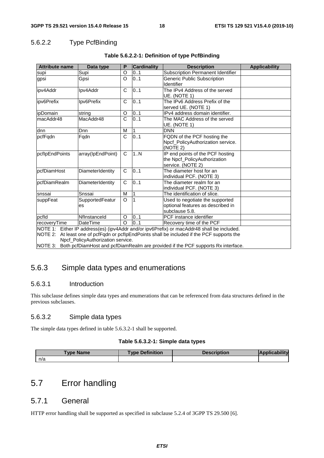### 5.6.2.2 Type PcfBinding

| <b>Attribute name</b>                                                                                                                                                                                                                                                                                                      | Data type             | P | <b>Cardinality</b> | <b>Description</b>                                                                     | <b>Applicability</b> |
|----------------------------------------------------------------------------------------------------------------------------------------------------------------------------------------------------------------------------------------------------------------------------------------------------------------------------|-----------------------|---|--------------------|----------------------------------------------------------------------------------------|----------------------|
| supi                                                                                                                                                                                                                                                                                                                       | Supi                  | O | 0.1                | Subscription Permanent Identifier                                                      |                      |
| gpsi                                                                                                                                                                                                                                                                                                                       | Gpsi                  | O | 0.1                | Generic Public Subscription<br>Identifier                                              |                      |
| ipv4Addr                                                                                                                                                                                                                                                                                                                   | Ipv4Addr              | C | 0.1                | The IPv4 Address of the served<br>UE. (NOTE 1)                                         |                      |
| ipv6Prefix                                                                                                                                                                                                                                                                                                                 | Ipv6Prefix            | C | 0.1                | The IPv6 Address Prefix of the<br>served UE. (NOTE 1)                                  |                      |
| ipDomain                                                                                                                                                                                                                                                                                                                   | string                | O | 0.1                | IPv4 address domain identifier.                                                        |                      |
| macAddr48                                                                                                                                                                                                                                                                                                                  | MacAddr48             | C | 0.1                | The MAC Address of the served<br>UE. (NOTE 1)                                          |                      |
| dnn                                                                                                                                                                                                                                                                                                                        | Dnn                   | М |                    | <b>DNN</b>                                                                             |                      |
| pcfFqdn                                                                                                                                                                                                                                                                                                                    | Fqdn                  | C | 0.1                | FQDN of the PCF hosting the<br>Npcf_PolicyAuthorization service.<br>(NOTE 2)           |                      |
| pcflpEndPoints                                                                                                                                                                                                                                                                                                             | array(IpEndPoint)     | C | 1N                 | IP end points of the PCF hosting<br>the Npcf PolicyAuthorization<br>service. (NOTE 2)  |                      |
| pcfDiamHost                                                                                                                                                                                                                                                                                                                | DiameterIdentity      | C | 0.1                | The diameter host for an<br>individual PCF. (NOTE 3)                                   |                      |
| pcfDiamRealm                                                                                                                                                                                                                                                                                                               | DiameterIdentity      | C | 0.1                | The diameter realm for an<br>individual PCF. (NOTE 3)                                  |                      |
| snssai                                                                                                                                                                                                                                                                                                                     | Snssai                | M |                    | The identification of slice.                                                           |                      |
| suppFeat                                                                                                                                                                                                                                                                                                                   | SupportedFeatur<br>es | O | 1                  | Used to negotiate the supported<br>optional features as described in<br>subclause 5.8. |                      |
| pcfld                                                                                                                                                                                                                                                                                                                      | Nflnstanceld          | O | 0.1                | PCF instance identifier                                                                |                      |
| recoveryTime                                                                                                                                                                                                                                                                                                               | <b>DateTime</b>       |   | 0.1                | Recovery time of the PCF                                                               |                      |
| NOTE 1: Either IP address(es) (ipv4Addr and/or ipv6Prefix) or macAddr48 shall be included.<br>NOTE 2: At least one of pcfFqdn or pcflpEndPoints shall be included if the PCF supports the<br>Npcf_PolicyAuthorization service.<br>NOTE 3: Both pcfDiamHost and pcfDiamRealm are provided if the PCF supports Rx interface. |                       |   |                    |                                                                                        |                      |

NOTE 3: Both pcfDiamHost and pcfDiamRealm are provided if the PCF supports Rx interface.

## 5.6.3 Simple data types and enumerations

#### 5.6.3.1 Introduction

This subclause defines simple data types and enumerations that can be referenced from data structures defined in the previous subclauses.

### 5.6.3.2 Simple data types

The simple data types defined in table 5.6.3.2-1 shall be supported.

#### **Table 5.6.3.2-1: Simple data types**

| <b>Type Name</b> | <b>Type Definition</b> | <b>Description</b> |  |
|------------------|------------------------|--------------------|--|
| n/a              |                        |                    |  |

## 5.7 Error handling

### 5.7.1 General

HTTP error handling shall be supported as specified in subclause 5.2.4 of 3GPP TS 29.500 [6].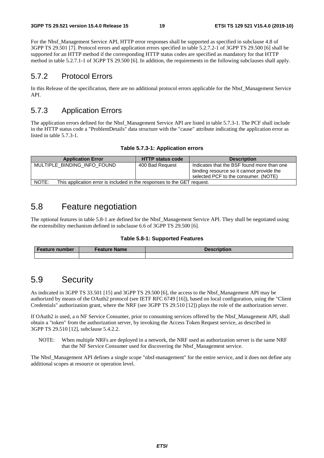For the Nbsf\_Management Service API, HTTP error responses shall be supported as specified in subclause 4.8 of 3GPP TS 29.501 [7]. Protocol errors and application errors specified in table 5.2.7.2-1 of 3GPP TS 29.500 [6] shall be supported for an HTTP method if the corresponding HTTP status codes are specified as mandatory for that HTTP method in table 5.2.7.1-1 of 3GPP TS 29.500 [6]. In addition, the requirements in the following subclauses shall apply.

### 5.7.2 Protocol Errors

In this Release of the specification, there are no additional protocol errors applicable for the Nbsf\_Management Service API.

### 5.7.3 Application Errors

The application errors defined for the Nbsf\_Management Service API are listed in table 5.7.3-1. The PCF shall include in the HTTP status code a "ProblemDetails" data structure with the "cause" attribute indicating the application error as listed in table 5.7.3-1.

| <b>Application Error</b>                                                         | <b>HTTP status code</b> | <b>Description</b>                                                                                                              |
|----------------------------------------------------------------------------------|-------------------------|---------------------------------------------------------------------------------------------------------------------------------|
| MULTIPLE BINDING INFO FOUND                                                      | 400 Bad Request         | Indicates that the BSF found more than one<br>binding resource so it cannot provide the<br>selected PCF to the consumer. (NOTE) |
| NOTE:<br>This application error is included in the responses to the GET request. |                         |                                                                                                                                 |

## 5.8 Feature negotiation

The optional features in table 5.8-1 are defined for the Nbsf\_Management Service API. They shall be negotiated using the extensibility mechanism defined in subclause 6.6 of 3GPP TS 29.500 [6].

#### **Table 5.8-1: Supported Features**

| <b>Feature number</b> | <b>Feature Name</b> | <b>Description</b> |  |
|-----------------------|---------------------|--------------------|--|
|                       |                     |                    |  |

## 5.9 Security

As indicated in 3GPP TS 33.501 [15] and 3GPP TS 29.500 [6], the access to the Nbsf\_Management API may be authorized by means of the OAuth2 protocol (see IETF RFC 6749 [16]), based on local configuration, using the "Client Credentials" authorization grant, where the NRF (see 3GPP TS 29.510 [12]) plays the role of the authorization server.

If OAuth2 is used, a n NF Service Consumer, prior to consuming services offered by the Nbsf\_Management API, shall obtain a "token" from the authorization server, by invoking the Access Token Request service, as described in 3GPP TS 29.510 [12], subclause 5.4.2.2.

NOTE: When multiple NRFs are deployed in a network, the NRF used as authorization server is the same NRF that the NF Service Consumer used for discovering the Nbsf\_Management service.

The Nbsf\_Management API defines a single scope "nbsf-management" for the entire service, and it does not define any additional scopes at resource or operation level.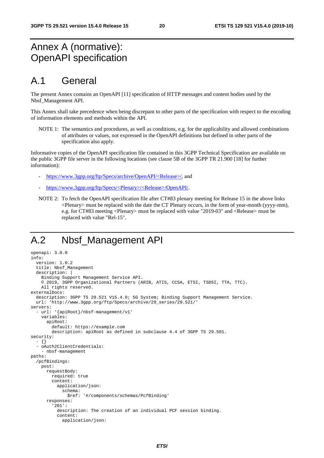## Annex A (normative): OpenAPI specification

## A.1 General

The present Annex contains an OpenAPI [11] specification of HTTP messages and content bodies used by the Nbsf\_Management API.

This Annex shall take precedence when being discrepant to other parts of the specification with respect to the encoding of information elements and methods within the API.

NOTE 1: The semantics and procedures, as well as conditions, e.g. for the applicability and allowed combinations of attributes or values, not expressed in the OpenAPI definitions but defined in other parts of the specification also apply.

Informative copies of the OpenAPI specification file contained in this 3GPP Technical Specification are available on the public 3GPP file server in the following locations (see clause 5B of the 3GPP TR 21.900 [18] for further information):

- [https://www.3gpp.org/ftp/Specs/archive/OpenAPI/<Release>/](https://www.3gpp.org/ftp/Specs/archive/OpenAPI/%3cRelease%3e/), and
- [https://www.3gpp.org/ftp/Specs/<Plenary>/<Release>/OpenAPI/.](https://www.3gpp.org/ftp/Specs/%3cPlenary%3e/%3cRelease%3e/OpenAPI/)
- NOTE 2: To fetch the OpenAPI specification file after CT#83 plenary meeting for Release 15 in the above links <Plenary> must be replaced with the date the CT Plenary occurs, in the form of year-month (yyyy-mm), e.g. for CT#83 meeting <Plenary> must be replaced with value "2019-03" and <Release> must be replaced with value "Rel-15".

## A.2 Nbsf\_Management API

```
openapi: 3.0.0 
info: 
   version: 1.0.2 
   title: Nbsf_Management 
   description: | 
     Binding Support Management Service API. 
     © 2019, 3GPP Organizational Partners (ARIB, ATIS, CCSA, ETSI, TSDSI, TTA, TTC). 
    All rights reserved.
externalDocs: 
   description: 3GPP TS 29.521 V15.4.0; 5G System; Binding Support Management Service. 
   url: 'http://www.3gpp.org/ftp/Specs/archive/29_series/29.521/' 
servers: 
   - url: '{apiRoot}/nbsf-management/v1' 
     variables: 
       apiRoot: 
         default: https://example.com 
         description: apiRoot as defined in subclause 4.4 of 3GPP TS 29.501. 
security: 
   - {} 
   - oAuth2ClientCredentials: 
     - nbsf-management 
paths: 
   /pcfBindings: 
     post: 
       requestBody: 
         required: true 
         content: 
           application/json: 
              schema: 
                $ref: '#/components/schemas/PcfBinding' 
       responses: 
          '201': 
            description: The creation of an individual PCF session binding. 
            content: 
              application/json:
```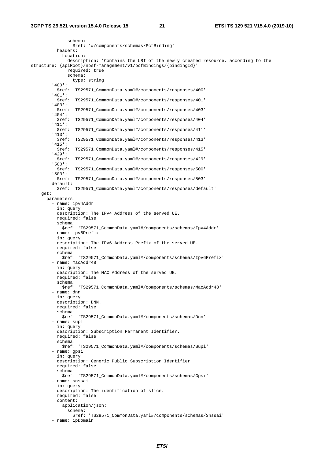schema: \$ref: '#/components/schemas/PcfBinding' headers: Location: description: 'Contains the URI of the newly created resource, according to the structure: {apiRoot}/nbsf-management/v1/pcfBindings/{bindingId}' required: true schema: type: string '400': \$ref: 'TS29571\_CommonData.yaml#/components/responses/400' '401': \$ref: 'TS29571\_CommonData.yaml#/components/responses/401' '403': \$ref: 'TS29571\_CommonData.yaml#/components/responses/403' '404': \$ref: 'TS29571\_CommonData.yaml#/components/responses/404' '411': \$ref: 'TS29571\_CommonData.yaml#/components/responses/411' '413': \$ref: 'TS29571\_CommonData.yaml#/components/responses/413' '415': \$ref: 'TS29571\_CommonData.yaml#/components/responses/415' '429': \$ref: 'TS29571\_CommonData.yaml#/components/responses/429' '500': \$ref: 'TS29571\_CommonData.yaml#/components/responses/500' '503': \$ref: 'TS29571\_CommonData.yaml#/components/responses/503' default: \$ref: 'TS29571\_CommonData.yaml#/components/responses/default' get: parameters: - name: ipv4Addr in: query description: The IPv4 Address of the served UE. required: false schema: \$ref: 'TS29571\_CommonData.yaml#/components/schemas/Ipv4Addr' - name: ipv6Prefix in: query description: The IPv6 Address Prefix of the served UE. required: false schema: \$ref: 'TS29571\_CommonData.yaml#/components/schemas/Ipv6Prefix' - name: macAddr48 in: query description: The MAC Address of the served UE. required: false schema: \$ref: 'TS29571\_CommonData.yaml#/components/schemas/MacAddr48' - name: dnn in: query description: DNN. required: false schema: \$ref: 'TS29571\_CommonData.yaml#/components/schemas/Dnn' - name: supi in: query description: Subscription Permanent Identifier. required: false schema: \$ref: 'TS29571\_CommonData.yaml#/components/schemas/Supi' - name: gpsi in: query description: Generic Public Subscription Identifier required: false schema: \$ref: 'TS29571\_CommonData.yaml#/components/schemas/Gpsi' - name: snssai in: query description: The identification of slice. required: false content: application/json: schema: \$ref: 'TS29571\_CommonData.yaml#/components/schemas/Snssai' - name: ipDomain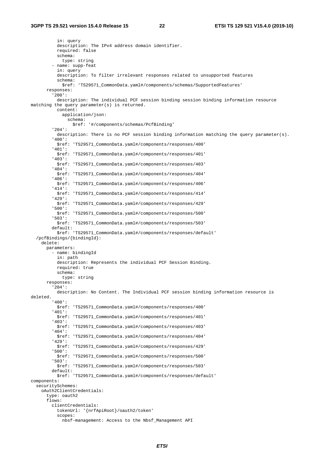in: query description: The IPv4 address domain identifier. required: false schema: type: string - name: supp-feat in: query description: To filter irrelevant responses related to unsupported features schema: \$ref: 'TS29571\_CommonData.yaml#/components/schemas/SupportedFeatures' responses: '200': description: The individual PCF session binding session binding information resource matching the query parameter(s) is returned. content: application/json: schema: \$ref: '#/components/schemas/PcfBinding' '204': description: There is no PCF session binding information matching the query parameter(s). '400': \$ref: 'TS29571\_CommonData.yaml#/components/responses/400' '401': \$ref: 'TS29571\_CommonData.yaml#/components/responses/401' '403': \$ref: 'TS29571\_CommonData.yaml#/components/responses/403' '404': \$ref: 'TS29571\_CommonData.yaml#/components/responses/404' '406': \$ref: 'TS29571\_CommonData.yaml#/components/responses/406' '414': \$ref: 'TS29571\_CommonData.yaml#/components/responses/414' '429': \$ref: 'TS29571\_CommonData.yaml#/components/responses/429' '500': \$ref: 'TS29571\_CommonData.yaml#/components/responses/500' '503': \$ref: 'TS29571\_CommonData.yaml#/components/responses/503' default: \$ref: 'TS29571\_CommonData.yaml#/components/responses/default' /pcfBindings/{bindingId}: delete: parameters: - name: bindingId in: path description: Represents the individual PCF Session Binding. required: true schema: type: string responses: '204': description: No Content. The Individual PCF session binding information resource is deleted. '400': \$ref: 'TS29571\_CommonData.yaml#/components/responses/400' '401': \$ref: 'TS29571\_CommonData.yaml#/components/responses/401' '403': \$ref: 'TS29571\_CommonData.yaml#/components/responses/403' '404': \$ref: 'TS29571\_CommonData.yaml#/components/responses/404' '429': \$ref: 'TS29571\_CommonData.yaml#/components/responses/429' '500': \$ref: 'TS29571\_CommonData.yaml#/components/responses/500' '503': \$ref: 'TS29571\_CommonData.yaml#/components/responses/503' default: \$ref: 'TS29571\_CommonData.yaml#/components/responses/default' components: securitySchemes: oAuth2ClientCredentials: type: oauth2 flows: clientCredentials: tokenUrl: '{nrfApiRoot}/oauth2/token' scopes: nbsf-management: Access to the Nbsf\_Management API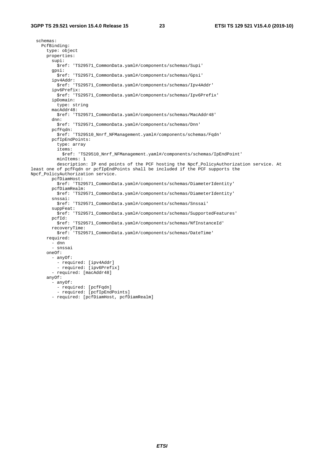schemas: PcfBinding: type: object properties: supi: \$ref: 'TS29571\_CommonData.yaml#/components/schemas/Supi' gpsi: \$ref: 'TS29571\_CommonData.yaml#/components/schemas/Gpsi' ipv4Addr: \$ref: 'TS29571\_CommonData.yaml#/components/schemas/Ipv4Addr' ipv6Prefix: \$ref: 'TS29571\_CommonData.yaml#/components/schemas/Ipv6Prefix' ipDomain: type: string macAddr48: \$ref: 'TS29571\_CommonData.yaml#/components/schemas/MacAddr48' dnn: \$ref: 'TS29571\_CommonData.yaml#/components/schemas/Dnn' pcfFqdn: \$ref: 'TS29510\_Nnrf\_NFManagement.yaml#/components/schemas/Fqdn' pcfIpEndPoints: type: array items: \$ref: 'TS29510\_Nnrf\_NFManagement.yaml#/components/schemas/IpEndPoint' minItems: 1 description: IP end points of the PCF hosting the Npcf\_PolicyAuthorization service. At least one of pcfFqdn or pcfIpEndPoints shall be included if the PCF supports the Npcf\_PolicyAuthorization service. pcfDiamHost: \$ref: 'TS29571\_CommonData.yaml#/components/schemas/DiameterIdentity' pcfDiamRealm: \$ref: 'TS29571\_CommonData.yaml#/components/schemas/DiameterIdentity' snssai: \$ref: 'TS29571\_CommonData.yaml#/components/schemas/Snssai' suppFeat: \$ref: 'TS29571\_CommonData.yaml#/components/schemas/SupportedFeatures' pcfId: \$ref: 'TS29571\_CommonData.yaml#/components/schemas/NfInstanceId' recoveryTime: \$ref: 'TS29571\_CommonData.yaml#/components/schemas/DateTime' required: - dnn - snssai oneOf: - anyOf: - required: [ipv4Addr] - required: [ipv6Prefix] - required: [macAddr48] anyOf: - anyOf: - required: [pcfFqdn] - required: [pcfIpEndPoints] - required: [pcfDiamHost, pcfDiamRealm]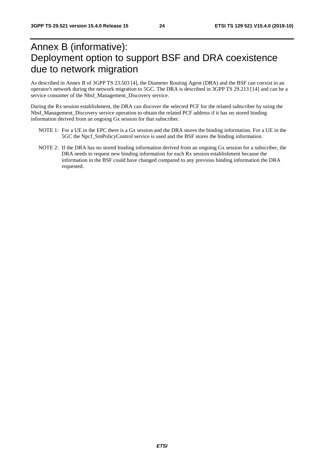## Annex B (informative): Deployment option to support BSF and DRA coexistence due to network migration

As described in Annex B of 3GPP TS 23.503 [4], the Diameter Routing Agent (DRA) and the BSF can coexist in an operator's network during the network migration to 5GC. The DRA is described in 3GPP TS 29.213 [14] and can be a service consumer of the Nbsf\_Management\_Discovery service.

During the Rx session establishment, the DRA can discover the selected PCF for the related subscriber by using the Nbsf\_Management\_Discovery service operation to obtain the related PCF address if it has no stored binding information derived from an ongoing Gx session for that subscriber.

- NOTE 1: For a UE in the EPC there is a Gx session and the DRA stores the binding information. For a UE in the 5GC the Npcf\_SmPolicyControl service is used and the BSF stores the binding information.
- NOTE 2: If the DRA has no stored binding information derived from an ongoing Gx session for a subscriber, the DRA needs to request new binding information for each Rx session establishment because the information in the BSF could have changed compared to any previous binding information the DRA requested.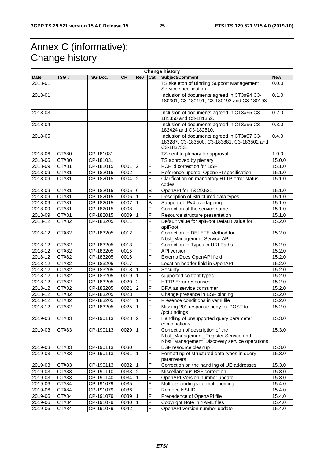## Annex C (informative): Change history

|             | <b>Change history</b> |           |           |                |                         |                                                                                                                          |            |
|-------------|-----------------------|-----------|-----------|----------------|-------------------------|--------------------------------------------------------------------------------------------------------------------------|------------|
| <b>Date</b> | TSG#                  | TSG Doc.  | <b>CR</b> | <b>Rev</b>     | Cat                     | Subject/Comment                                                                                                          | <b>New</b> |
| 2018-01     |                       |           |           |                |                         | TS skeleton of Binding Support Management<br>Service specification                                                       | 0.0.0      |
| 2018-01     |                       |           |           |                |                         | Inclusion of documents agreed in CT3#94 C3-<br>180301, C3-180191, C3-180192 and C3-180193.                               | 0.1.0      |
| 2018-03     |                       |           |           |                |                         | Inclusion of documents agreed in CT3#95 C3-<br>181350 and C3-181352.                                                     | 0.2.0      |
| 2018-04     |                       |           |           |                |                         | Inclusion of documents agreed in CT3#96 C3-<br>182424 and C3-182510.                                                     | 0.3.0      |
| 2018-05     |                       |           |           |                |                         | Inclusion of documents agreed in CT3#97 C3-<br>183287, C3-183500, C3-183881, C3-183502 and<br>C3-183733.                 | 0.4.0      |
| 2018-06     | CT#80                 | CP-181031 |           |                |                         | TS sent to plenary for approval.                                                                                         | 1.0.0      |
| 2018-06     | CT#80                 | CP-181031 |           |                |                         | TS approved by plenary                                                                                                   | 15.0.0     |
| 2018-09     | CT#81                 | CP-182015 | 0001      | $\overline{2}$ | F                       | PCF id correction for BSF                                                                                                | 15.1.0     |
| 2018-09     | CT#81                 | CP-182015 | 0002      |                | F                       | Reference update: OpenAPI specification                                                                                  | 15.1.0     |
| 2018-09     | CT#81                 | CP-182015 | 0004      | $ 2\rangle$    | $\overline{F}$          | Clarification on mandatory HTTP error status<br>codes                                                                    | 15.1.0     |
| 2018-09     | CT#81                 | CP-182015 | 0005      | 6              | B                       | OpenAPI for TS 29.521                                                                                                    | 15.1.0     |
| 2018-09     | CT#81                 | CP-182015 | 0006      |                | F                       | Description of Structured data types                                                                                     | 15.1.0     |
| 2018-09     | CT#81                 | CP-182015 | 0007      |                | B                       | Support of IPv4 overlapping                                                                                              | 15.1.0     |
| 2018-09     | CT#81                 | CP-182015 | 0008      |                | F                       | Correction of the service name                                                                                           | 15.1.0     |
| 2018-09     | $\overline{CT#81}$    | CP-182015 | 0009      | $\mathbf 1$    | F                       | Resource structure presentation                                                                                          | 15.1.0     |
| 2018-12     | CT#82                 | CP-183205 | 0011      |                | F                       | Default value for apiRoot Default value for<br>apiRoot                                                                   | 15.2.0     |
| 2018-12     | CT#82                 | CP-183205 | 0012      |                | F                       | Correction to DELETE Method for<br>Nbsf_Management Service API                                                           | 15.2.0     |
| 2018-12     | CT#82                 | CP-183205 | 0013      |                | F                       | Correction to Typos in URI Paths                                                                                         | 15.2.0     |
| 2018-12     | CT#82                 | CP-183205 | 0015      |                | F                       | <b>API</b> version                                                                                                       | 15.2.0     |
| 2018-12     | CT#82                 | CP-183205 | 0016      |                | F                       | ExternalDocs OpenAPI field                                                                                               | 15.2.0     |
| 2018-12     | CT#82                 | CP-183205 | 0017      |                | F                       | Location header field in OpenAPI                                                                                         | 15.2.0     |
| 2018-12     | CT#82                 | CP-183205 | 0018      | ∣1             | F                       | Security                                                                                                                 | 15.2.0     |
| 2018-12     | CT#82                 | CP-183205 | 0019      |                | $\overline{\mathsf{F}}$ | supported content types                                                                                                  | 15.2.0     |
| 2018-12     | CT#82                 | CP-183205 | 0020      | $\overline{2}$ | F                       | <b>HTTP Error responses</b>                                                                                              | 15.2.0     |
| 2018-12     | CT#82                 | CP-183205 | 0021      | $\overline{2}$ | F                       | DRA as service consumer                                                                                                  | 15.2.0     |
| 2018-12     | CT#82                 | CP-183205 | 0023      |                | F                       | Change presence in BSF binding                                                                                           | 15.2.0     |
| 2018-12     | CT#82                 | CP-183205 | 0024      | ∣1             | F                       | Presence conditions in yaml file                                                                                         | 15.2.0     |
| 2018-12     | CT#82                 | CP-183205 | 0025      | ∣1             | $\overline{F}$          | Missing 201 response body for POST to<br>/pcfBindings                                                                    | 15.2.0     |
| 2019-03     | CT#83                 | CP-190113 | 0028      | $\overline{2}$ | F                       | Handling of unsupported query parameter<br>combinations                                                                  | 15.3.0     |
| 2019-03     | CT#83                 | CP-190113 | 0029      | $\overline{1}$ | $\overline{F}$          | Correction of description of the<br>Nbsf_Management_Register Service and<br>Nbsf_Management_Discovery service operations | 15.3.0     |
| 2019-03     | CT#83                 | CP-190113 | 0030      |                | $\mathsf F$             | <b>BSF</b> resource cleanup                                                                                              | 15.3.0     |
| 2019-03     | CT#83                 | CP-190113 | 0031      | ∣1             | F                       | Formatting of structured data types in query<br>parameters                                                               | 15.3.0     |
| 2019-03     | CT#83                 | CP-190113 | 0032      | $\vert$ 1      | F                       | Correction on the handling of UE addresses                                                                               | 15.3.0     |
| 2019-03     | CT#83                 | CP-190110 | 0033      | 2              | F                       | Miscellaneous BSF correction                                                                                             | 15.3.0     |
| 2019-03     | CT#83                 | CP-190140 | 0034      | ∣1             | F                       | OpenAPI Version number update                                                                                            | 15.3.0     |
| 2019-06     | CT#84                 | CP-191079 | 0035      |                | $\overline{F}$          | Multiple bindings for multi-homing                                                                                       | 15.4.0     |
| 2019-06     | CT#84                 | CP-191079 | 0036      |                | F                       | Remove NSI ID                                                                                                            | 15.4.0     |
| 2019-06     | CT#84                 | CP-191079 | 0039      |                | F                       | Precedence of OpenAPI file                                                                                               | 15.4.0     |
| 2019-06     | CT#84                 | CP-191079 | 0040      |                | F                       | Copyright Note in YAML files                                                                                             | 15.4.0     |
| 2019-06     | CT#84                 | CP-191079 | 0042      |                | F                       | OpenAPI version number update                                                                                            | 15.4.0     |
|             |                       |           |           |                |                         |                                                                                                                          |            |